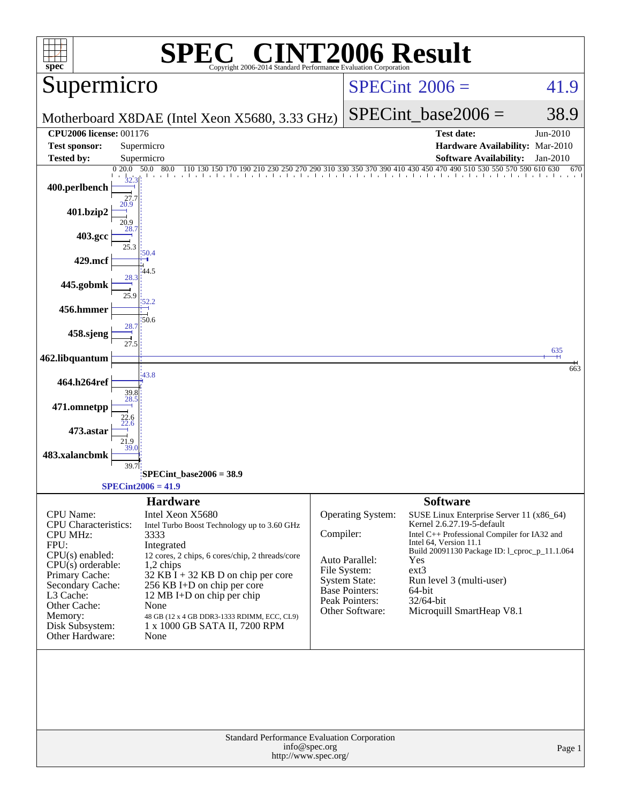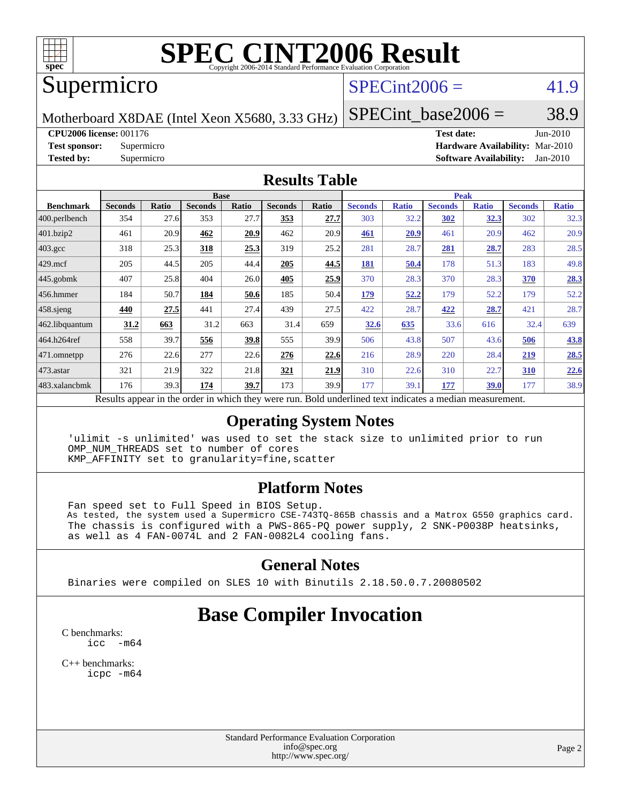

# **[SPEC CINT2006 Result](http://www.spec.org/auto/cpu2006/Docs/result-fields.html#SPECCINT2006Result)**

### Supermicro

### $SPECint2006 = 41.9$  $SPECint2006 = 41.9$

Motherboard X8DAE (Intel Xeon X5680, 3.33 GHz)

SPECint base2006 =  $38.9$ 

**[CPU2006 license:](http://www.spec.org/auto/cpu2006/Docs/result-fields.html#CPU2006license)** 001176

| <b>CPU2006 license: 001176</b> |            | <b>Test date:</b>                      | $Jun-2010$ |
|--------------------------------|------------|----------------------------------------|------------|
| <b>Test sponsor:</b>           | Supermicro | <b>Hardware Availability: Mar-2010</b> |            |
| <b>Tested by:</b>              | Supermicro | <b>Software Availability:</b> Jan-2010 |            |

#### **[Results Table](http://www.spec.org/auto/cpu2006/Docs/result-fields.html#ResultsTable)**

|                         |                                                                                                          | <b>Peak</b><br><b>Base</b> |                |       |                |       |                |              |                |              |                |              |
|-------------------------|----------------------------------------------------------------------------------------------------------|----------------------------|----------------|-------|----------------|-------|----------------|--------------|----------------|--------------|----------------|--------------|
| <b>Benchmark</b>        | <b>Seconds</b>                                                                                           | Ratio                      | <b>Seconds</b> | Ratio | <b>Seconds</b> | Ratio | <b>Seconds</b> | <b>Ratio</b> | <b>Seconds</b> | <b>Ratio</b> | <b>Seconds</b> | <b>Ratio</b> |
| $ 400.\text{perlbench}$ | 354                                                                                                      | 27.6                       | 353            | 27.7  | 353            | 27.7  | 303            | 32.2         | 302            | 32.3         | 302            | 32.3         |
| 401.bzip2               | 461                                                                                                      | 20.9                       | 462            | 20.9  | 462            | 20.9  | 461            | 20.9         | 461            | 20.9         | 462            | 20.9         |
| $403.\text{gcc}$        | 318                                                                                                      | 25.3                       | 318            | 25.3  | 319            | 25.2  | 281            | 28.7         | 281            | 28.7         | 283            | 28.5         |
| $429$ .mcf              | 205                                                                                                      | 44.5                       | 205            | 44.4  | 205            | 44.5  | 181            | 50.4         | 178            | 51.3         | 183            | 49.8         |
| $445$ .gobmk            | 407                                                                                                      | 25.8                       | 404            | 26.0  | 405            | 25.9  | 370            | 28.3         | 370            | 28.3         | 370            | 28.3         |
| 456.hmmer               | 184                                                                                                      | 50.7                       | 184            | 50.6  | 185            | 50.4  | 179            | 52.2         | 179            | 52.2         | 179            | 52.2         |
| 458 sjeng               | 440                                                                                                      | 27.5                       | 441            | 27.4  | 439            | 27.5  | 422            | 28.7         | 422            | 28.7         | 421            | 28.7         |
| 462.libquantum          | 31.2                                                                                                     | 663                        | 31.2           | 663   | 31.4           | 659   | 32.6           | 635          | 33.6           | 616          | 32.4           | 639          |
| 464.h264ref             | 558                                                                                                      | 39.7                       | 556            | 39.8  | 555            | 39.9  | 506            | 43.8         | 507            | 43.6         | 506            | 43.8         |
| $ 471$ .omnetpp         | 276                                                                                                      | 22.6                       | 277            | 22.6  | 276            | 22.6  | 216            | 28.9         | 220            | 28.4         | 219            | 28.5         |
| $473$ . astar           | 321                                                                                                      | 21.9                       | 322            | 21.8  | 321            | 21.9  | 310            | 22.6         | 310            | 22.7         | 310            | 22.6         |
| 483.xalancbmk           | 176                                                                                                      | 39.3                       | 174            | 39.7  | 173            | 39.9  | 177            | 39.1         | 177            | <u>39.0</u>  | 177            | 38.9         |
|                         | Results appear in the order in which they were run. Bold underlined text indicates a median measurement. |                            |                |       |                |       |                |              |                |              |                |              |

### **[Operating System Notes](http://www.spec.org/auto/cpu2006/Docs/result-fields.html#OperatingSystemNotes)**

 'ulimit -s unlimited' was used to set the stack size to unlimited prior to run OMP\_NUM\_THREADS set to number of cores KMP\_AFFINITY set to granularity=fine,scatter

### **[Platform Notes](http://www.spec.org/auto/cpu2006/Docs/result-fields.html#PlatformNotes)**

 Fan speed set to Full Speed in BIOS Setup. As tested, the system used a Supermicro CSE-743TQ-865B chassis and a Matrox G550 graphics card. The chassis is configured with a PWS-865-PQ power supply, 2 SNK-P0038P heatsinks, as well as 4 FAN-0074L and 2 FAN-0082L4 cooling fans.

### **[General Notes](http://www.spec.org/auto/cpu2006/Docs/result-fields.html#GeneralNotes)**

Binaries were compiled on SLES 10 with Binutils 2.18.50.0.7.20080502

# **[Base Compiler Invocation](http://www.spec.org/auto/cpu2006/Docs/result-fields.html#BaseCompilerInvocation)**

[C benchmarks](http://www.spec.org/auto/cpu2006/Docs/result-fields.html#Cbenchmarks):  $\text{icc}$   $-\text{m64}$ 

[C++ benchmarks:](http://www.spec.org/auto/cpu2006/Docs/result-fields.html#CXXbenchmarks) [icpc -m64](http://www.spec.org/cpu2006/results/res2010q3/cpu2006-20100607-11559.flags.html#user_CXXbase_intel_icpc_64bit_fc66a5337ce925472a5c54ad6a0de310)

> Standard Performance Evaluation Corporation [info@spec.org](mailto:info@spec.org) <http://www.spec.org/>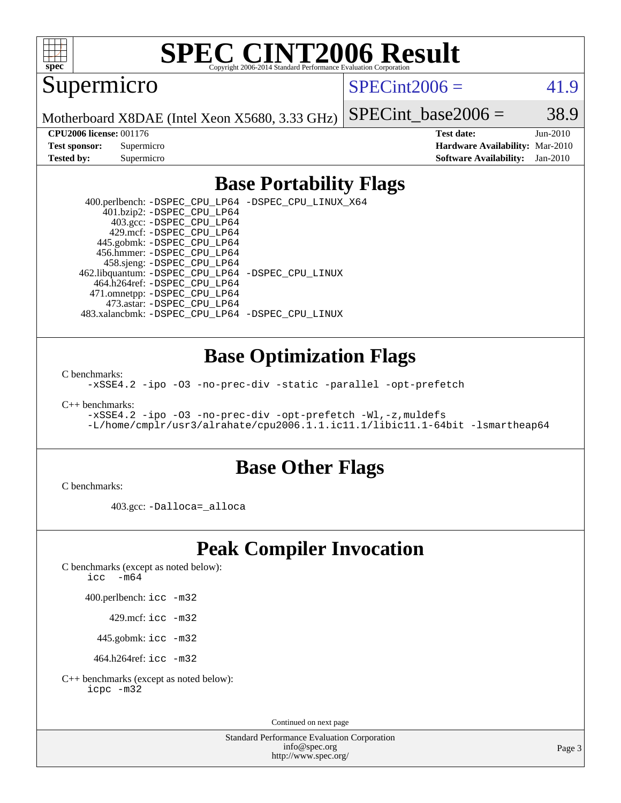

# **[SPEC CINT2006 Result](http://www.spec.org/auto/cpu2006/Docs/result-fields.html#SPECCINT2006Result)**

Supermicro

 $SPECint2006 = 41.9$  $SPECint2006 = 41.9$ 

Motherboard X8DAE (Intel Xeon X5680, 3.33 GHz)

SPECint base2006 =  $38.9$ 

**[CPU2006 license:](http://www.spec.org/auto/cpu2006/Docs/result-fields.html#CPU2006license)** 001176 **[Test date:](http://www.spec.org/auto/cpu2006/Docs/result-fields.html#Testdate)** Jun-2010 **[Test sponsor:](http://www.spec.org/auto/cpu2006/Docs/result-fields.html#Testsponsor)** Supermicro **[Hardware Availability:](http://www.spec.org/auto/cpu2006/Docs/result-fields.html#HardwareAvailability)** Mar-2010 **[Tested by:](http://www.spec.org/auto/cpu2006/Docs/result-fields.html#Testedby)** Supermicro **[Software Availability:](http://www.spec.org/auto/cpu2006/Docs/result-fields.html#SoftwareAvailability)** Jan-2010

### **[Base Portability Flags](http://www.spec.org/auto/cpu2006/Docs/result-fields.html#BasePortabilityFlags)**

 400.perlbench: [-DSPEC\\_CPU\\_LP64](http://www.spec.org/cpu2006/results/res2010q3/cpu2006-20100607-11559.flags.html#b400.perlbench_basePORTABILITY_DSPEC_CPU_LP64) [-DSPEC\\_CPU\\_LINUX\\_X64](http://www.spec.org/cpu2006/results/res2010q3/cpu2006-20100607-11559.flags.html#b400.perlbench_baseCPORTABILITY_DSPEC_CPU_LINUX_X64) 401.bzip2: [-DSPEC\\_CPU\\_LP64](http://www.spec.org/cpu2006/results/res2010q3/cpu2006-20100607-11559.flags.html#suite_basePORTABILITY401_bzip2_DSPEC_CPU_LP64) 403.gcc: [-DSPEC\\_CPU\\_LP64](http://www.spec.org/cpu2006/results/res2010q3/cpu2006-20100607-11559.flags.html#suite_basePORTABILITY403_gcc_DSPEC_CPU_LP64) 429.mcf: [-DSPEC\\_CPU\\_LP64](http://www.spec.org/cpu2006/results/res2010q3/cpu2006-20100607-11559.flags.html#suite_basePORTABILITY429_mcf_DSPEC_CPU_LP64) 445.gobmk: [-DSPEC\\_CPU\\_LP64](http://www.spec.org/cpu2006/results/res2010q3/cpu2006-20100607-11559.flags.html#suite_basePORTABILITY445_gobmk_DSPEC_CPU_LP64) 456.hmmer: [-DSPEC\\_CPU\\_LP64](http://www.spec.org/cpu2006/results/res2010q3/cpu2006-20100607-11559.flags.html#suite_basePORTABILITY456_hmmer_DSPEC_CPU_LP64) 458.sjeng: [-DSPEC\\_CPU\\_LP64](http://www.spec.org/cpu2006/results/res2010q3/cpu2006-20100607-11559.flags.html#suite_basePORTABILITY458_sjeng_DSPEC_CPU_LP64) 462.libquantum: [-DSPEC\\_CPU\\_LP64](http://www.spec.org/cpu2006/results/res2010q3/cpu2006-20100607-11559.flags.html#suite_basePORTABILITY462_libquantum_DSPEC_CPU_LP64) [-DSPEC\\_CPU\\_LINUX](http://www.spec.org/cpu2006/results/res2010q3/cpu2006-20100607-11559.flags.html#b462.libquantum_baseCPORTABILITY_DSPEC_CPU_LINUX) 464.h264ref: [-DSPEC\\_CPU\\_LP64](http://www.spec.org/cpu2006/results/res2010q3/cpu2006-20100607-11559.flags.html#suite_basePORTABILITY464_h264ref_DSPEC_CPU_LP64) 471.omnetpp: [-DSPEC\\_CPU\\_LP64](http://www.spec.org/cpu2006/results/res2010q3/cpu2006-20100607-11559.flags.html#suite_basePORTABILITY471_omnetpp_DSPEC_CPU_LP64) 473.astar: [-DSPEC\\_CPU\\_LP64](http://www.spec.org/cpu2006/results/res2010q3/cpu2006-20100607-11559.flags.html#suite_basePORTABILITY473_astar_DSPEC_CPU_LP64) 483.xalancbmk: [-DSPEC\\_CPU\\_LP64](http://www.spec.org/cpu2006/results/res2010q3/cpu2006-20100607-11559.flags.html#suite_basePORTABILITY483_xalancbmk_DSPEC_CPU_LP64) [-DSPEC\\_CPU\\_LINUX](http://www.spec.org/cpu2006/results/res2010q3/cpu2006-20100607-11559.flags.html#b483.xalancbmk_baseCXXPORTABILITY_DSPEC_CPU_LINUX)

### **[Base Optimization Flags](http://www.spec.org/auto/cpu2006/Docs/result-fields.html#BaseOptimizationFlags)**

[C benchmarks](http://www.spec.org/auto/cpu2006/Docs/result-fields.html#Cbenchmarks):

[-xSSE4.2](http://www.spec.org/cpu2006/results/res2010q3/cpu2006-20100607-11559.flags.html#user_CCbase_f-xSSE42_f91528193cf0b216347adb8b939d4107) [-ipo](http://www.spec.org/cpu2006/results/res2010q3/cpu2006-20100607-11559.flags.html#user_CCbase_f-ipo) [-O3](http://www.spec.org/cpu2006/results/res2010q3/cpu2006-20100607-11559.flags.html#user_CCbase_f-O3) [-no-prec-div](http://www.spec.org/cpu2006/results/res2010q3/cpu2006-20100607-11559.flags.html#user_CCbase_f-no-prec-div) [-static](http://www.spec.org/cpu2006/results/res2010q3/cpu2006-20100607-11559.flags.html#user_CCbase_f-static) [-parallel](http://www.spec.org/cpu2006/results/res2010q3/cpu2006-20100607-11559.flags.html#user_CCbase_f-parallel) [-opt-prefetch](http://www.spec.org/cpu2006/results/res2010q3/cpu2006-20100607-11559.flags.html#user_CCbase_f-opt-prefetch)

[C++ benchmarks:](http://www.spec.org/auto/cpu2006/Docs/result-fields.html#CXXbenchmarks)

[-xSSE4.2](http://www.spec.org/cpu2006/results/res2010q3/cpu2006-20100607-11559.flags.html#user_CXXbase_f-xSSE42_f91528193cf0b216347adb8b939d4107) [-ipo](http://www.spec.org/cpu2006/results/res2010q3/cpu2006-20100607-11559.flags.html#user_CXXbase_f-ipo) [-O3](http://www.spec.org/cpu2006/results/res2010q3/cpu2006-20100607-11559.flags.html#user_CXXbase_f-O3) [-no-prec-div](http://www.spec.org/cpu2006/results/res2010q3/cpu2006-20100607-11559.flags.html#user_CXXbase_f-no-prec-div) [-opt-prefetch](http://www.spec.org/cpu2006/results/res2010q3/cpu2006-20100607-11559.flags.html#user_CXXbase_f-opt-prefetch) [-Wl,-z,muldefs](http://www.spec.org/cpu2006/results/res2010q3/cpu2006-20100607-11559.flags.html#user_CXXbase_link_force_multiple1_74079c344b956b9658436fd1b6dd3a8a) [-L/home/cmplr/usr3/alrahate/cpu2006.1.1.ic11.1/libic11.1-64bit -lsmartheap64](http://www.spec.org/cpu2006/results/res2010q3/cpu2006-20100607-11559.flags.html#user_CXXbase_SmartHeap64_e2306cda84805d1ab360117a79ff779c)

### **[Base Other Flags](http://www.spec.org/auto/cpu2006/Docs/result-fields.html#BaseOtherFlags)**

[C benchmarks](http://www.spec.org/auto/cpu2006/Docs/result-fields.html#Cbenchmarks):

403.gcc: [-Dalloca=\\_alloca](http://www.spec.org/cpu2006/results/res2010q3/cpu2006-20100607-11559.flags.html#b403.gcc_baseEXTRA_CFLAGS_Dalloca_be3056838c12de2578596ca5467af7f3)

### **[Peak Compiler Invocation](http://www.spec.org/auto/cpu2006/Docs/result-fields.html#PeakCompilerInvocation)**

[C benchmarks \(except as noted below\)](http://www.spec.org/auto/cpu2006/Docs/result-fields.html#Cbenchmarksexceptasnotedbelow):

icc  $-m64$ 

400.perlbench: [icc -m32](http://www.spec.org/cpu2006/results/res2010q3/cpu2006-20100607-11559.flags.html#user_peakCCLD400_perlbench_intel_icc_32bit_a6a621f8d50482236b970c6ac5f55f93)

429.mcf: [icc -m32](http://www.spec.org/cpu2006/results/res2010q3/cpu2006-20100607-11559.flags.html#user_peakCCLD429_mcf_intel_icc_32bit_a6a621f8d50482236b970c6ac5f55f93)

445.gobmk: [icc -m32](http://www.spec.org/cpu2006/results/res2010q3/cpu2006-20100607-11559.flags.html#user_peakCCLD445_gobmk_intel_icc_32bit_a6a621f8d50482236b970c6ac5f55f93)

464.h264ref: [icc -m32](http://www.spec.org/cpu2006/results/res2010q3/cpu2006-20100607-11559.flags.html#user_peakCCLD464_h264ref_intel_icc_32bit_a6a621f8d50482236b970c6ac5f55f93)

[C++ benchmarks \(except as noted below\):](http://www.spec.org/auto/cpu2006/Docs/result-fields.html#CXXbenchmarksexceptasnotedbelow) [icpc -m32](http://www.spec.org/cpu2006/results/res2010q3/cpu2006-20100607-11559.flags.html#user_CXXpeak_intel_icpc_32bit_4e5a5ef1a53fd332b3c49e69c3330699)

Continued on next page

Standard Performance Evaluation Corporation [info@spec.org](mailto:info@spec.org) <http://www.spec.org/>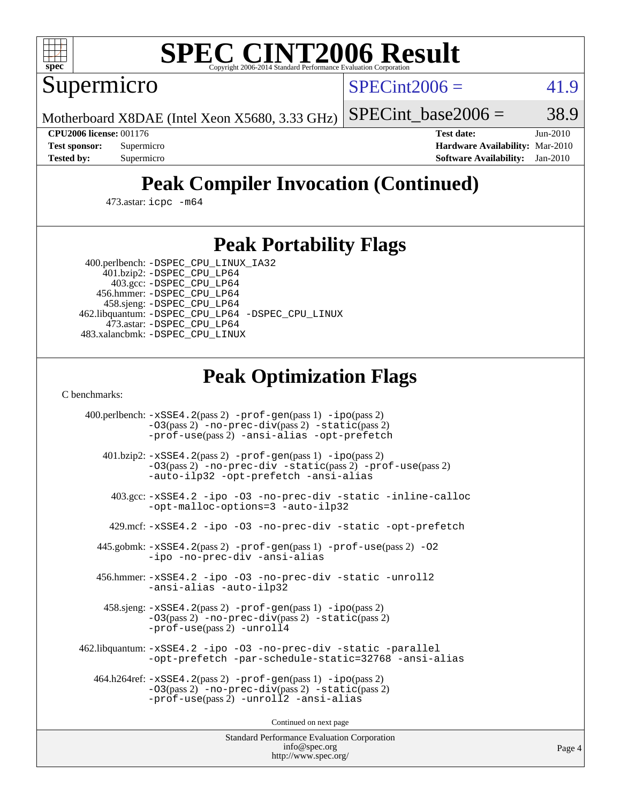

# **[SPEC CINT2006 Result](http://www.spec.org/auto/cpu2006/Docs/result-fields.html#SPECCINT2006Result)**

Supermicro

 $SPECint2006 = 41.9$  $SPECint2006 = 41.9$ 

Motherboard X8DAE (Intel Xeon X5680, 3.33 GHz)

SPECint base2006 =  $38.9$ 

**[CPU2006 license:](http://www.spec.org/auto/cpu2006/Docs/result-fields.html#CPU2006license)** 001176 **[Test date:](http://www.spec.org/auto/cpu2006/Docs/result-fields.html#Testdate)** Jun-2010 **[Test sponsor:](http://www.spec.org/auto/cpu2006/Docs/result-fields.html#Testsponsor)** Supermicro **[Hardware Availability:](http://www.spec.org/auto/cpu2006/Docs/result-fields.html#HardwareAvailability)** Mar-2010 **[Tested by:](http://www.spec.org/auto/cpu2006/Docs/result-fields.html#Testedby)** Supermicro **[Software Availability:](http://www.spec.org/auto/cpu2006/Docs/result-fields.html#SoftwareAvailability)** Jan-2010

# **[Peak Compiler Invocation \(Continued\)](http://www.spec.org/auto/cpu2006/Docs/result-fields.html#PeakCompilerInvocation)**

473.astar: [icpc -m64](http://www.spec.org/cpu2006/results/res2010q3/cpu2006-20100607-11559.flags.html#user_peakCXXLD473_astar_intel_icpc_64bit_fc66a5337ce925472a5c54ad6a0de310)

### **[Peak Portability Flags](http://www.spec.org/auto/cpu2006/Docs/result-fields.html#PeakPortabilityFlags)**

 400.perlbench: [-DSPEC\\_CPU\\_LINUX\\_IA32](http://www.spec.org/cpu2006/results/res2010q3/cpu2006-20100607-11559.flags.html#b400.perlbench_peakCPORTABILITY_DSPEC_CPU_LINUX_IA32) 401.bzip2: [-DSPEC\\_CPU\\_LP64](http://www.spec.org/cpu2006/results/res2010q3/cpu2006-20100607-11559.flags.html#suite_peakPORTABILITY401_bzip2_DSPEC_CPU_LP64)

 403.gcc: [-DSPEC\\_CPU\\_LP64](http://www.spec.org/cpu2006/results/res2010q3/cpu2006-20100607-11559.flags.html#suite_peakPORTABILITY403_gcc_DSPEC_CPU_LP64) 456.hmmer: [-DSPEC\\_CPU\\_LP64](http://www.spec.org/cpu2006/results/res2010q3/cpu2006-20100607-11559.flags.html#suite_peakPORTABILITY456_hmmer_DSPEC_CPU_LP64) 458.sjeng: [-DSPEC\\_CPU\\_LP64](http://www.spec.org/cpu2006/results/res2010q3/cpu2006-20100607-11559.flags.html#suite_peakPORTABILITY458_sjeng_DSPEC_CPU_LP64) 462.libquantum: [-DSPEC\\_CPU\\_LP64](http://www.spec.org/cpu2006/results/res2010q3/cpu2006-20100607-11559.flags.html#suite_peakPORTABILITY462_libquantum_DSPEC_CPU_LP64) [-DSPEC\\_CPU\\_LINUX](http://www.spec.org/cpu2006/results/res2010q3/cpu2006-20100607-11559.flags.html#b462.libquantum_peakCPORTABILITY_DSPEC_CPU_LINUX) 473.astar: [-DSPEC\\_CPU\\_LP64](http://www.spec.org/cpu2006/results/res2010q3/cpu2006-20100607-11559.flags.html#suite_peakPORTABILITY473_astar_DSPEC_CPU_LP64) 483.xalancbmk: [-DSPEC\\_CPU\\_LINUX](http://www.spec.org/cpu2006/results/res2010q3/cpu2006-20100607-11559.flags.html#b483.xalancbmk_peakCXXPORTABILITY_DSPEC_CPU_LINUX)

# **[Peak Optimization Flags](http://www.spec.org/auto/cpu2006/Docs/result-fields.html#PeakOptimizationFlags)**

[C benchmarks](http://www.spec.org/auto/cpu2006/Docs/result-fields.html#Cbenchmarks):

 400.perlbench: [-xSSE4.2](http://www.spec.org/cpu2006/results/res2010q3/cpu2006-20100607-11559.flags.html#user_peakPASS2_CFLAGSPASS2_LDCFLAGS400_perlbench_f-xSSE42_f91528193cf0b216347adb8b939d4107)(pass 2) [-prof-gen](http://www.spec.org/cpu2006/results/res2010q3/cpu2006-20100607-11559.flags.html#user_peakPASS1_CFLAGSPASS1_LDCFLAGS400_perlbench_prof_gen_e43856698f6ca7b7e442dfd80e94a8fc)(pass 1) [-ipo](http://www.spec.org/cpu2006/results/res2010q3/cpu2006-20100607-11559.flags.html#user_peakPASS2_CFLAGSPASS2_LDCFLAGS400_perlbench_f-ipo)(pass 2) [-O3](http://www.spec.org/cpu2006/results/res2010q3/cpu2006-20100607-11559.flags.html#user_peakPASS2_CFLAGSPASS2_LDCFLAGS400_perlbench_f-O3)(pass 2) [-no-prec-div](http://www.spec.org/cpu2006/results/res2010q3/cpu2006-20100607-11559.flags.html#user_peakPASS2_CFLAGSPASS2_LDCFLAGS400_perlbench_f-no-prec-div)(pass 2) [-static](http://www.spec.org/cpu2006/results/res2010q3/cpu2006-20100607-11559.flags.html#user_peakPASS2_CFLAGSPASS2_LDCFLAGS400_perlbench_f-static)(pass 2) [-prof-use](http://www.spec.org/cpu2006/results/res2010q3/cpu2006-20100607-11559.flags.html#user_peakPASS2_CFLAGSPASS2_LDCFLAGS400_perlbench_prof_use_bccf7792157ff70d64e32fe3e1250b55)(pass 2) [-ansi-alias](http://www.spec.org/cpu2006/results/res2010q3/cpu2006-20100607-11559.flags.html#user_peakCOPTIMIZE400_perlbench_f-ansi-alias) [-opt-prefetch](http://www.spec.org/cpu2006/results/res2010q3/cpu2006-20100607-11559.flags.html#user_peakCOPTIMIZE400_perlbench_f-opt-prefetch) 401.bzip2: [-xSSE4.2](http://www.spec.org/cpu2006/results/res2010q3/cpu2006-20100607-11559.flags.html#user_peakPASS2_CFLAGSPASS2_LDCFLAGS401_bzip2_f-xSSE42_f91528193cf0b216347adb8b939d4107)(pass 2) [-prof-gen](http://www.spec.org/cpu2006/results/res2010q3/cpu2006-20100607-11559.flags.html#user_peakPASS1_CFLAGSPASS1_LDCFLAGS401_bzip2_prof_gen_e43856698f6ca7b7e442dfd80e94a8fc)(pass 1) [-ipo](http://www.spec.org/cpu2006/results/res2010q3/cpu2006-20100607-11559.flags.html#user_peakPASS2_CFLAGSPASS2_LDCFLAGS401_bzip2_f-ipo)(pass 2) [-O3](http://www.spec.org/cpu2006/results/res2010q3/cpu2006-20100607-11559.flags.html#user_peakPASS2_CFLAGSPASS2_LDCFLAGS401_bzip2_f-O3)(pass 2) [-no-prec-div](http://www.spec.org/cpu2006/results/res2010q3/cpu2006-20100607-11559.flags.html#user_peakCOPTIMIZEPASS2_CFLAGSPASS2_LDCFLAGS401_bzip2_f-no-prec-div) [-static](http://www.spec.org/cpu2006/results/res2010q3/cpu2006-20100607-11559.flags.html#user_peakPASS2_CFLAGSPASS2_LDCFLAGS401_bzip2_f-static)(pass 2) [-prof-use](http://www.spec.org/cpu2006/results/res2010q3/cpu2006-20100607-11559.flags.html#user_peakPASS2_CFLAGSPASS2_LDCFLAGS401_bzip2_prof_use_bccf7792157ff70d64e32fe3e1250b55)(pass 2) [-auto-ilp32](http://www.spec.org/cpu2006/results/res2010q3/cpu2006-20100607-11559.flags.html#user_peakCOPTIMIZE401_bzip2_f-auto-ilp32) [-opt-prefetch](http://www.spec.org/cpu2006/results/res2010q3/cpu2006-20100607-11559.flags.html#user_peakCOPTIMIZE401_bzip2_f-opt-prefetch) [-ansi-alias](http://www.spec.org/cpu2006/results/res2010q3/cpu2006-20100607-11559.flags.html#user_peakCOPTIMIZE401_bzip2_f-ansi-alias) 403.gcc: [-xSSE4.2](http://www.spec.org/cpu2006/results/res2010q3/cpu2006-20100607-11559.flags.html#user_peakCOPTIMIZE403_gcc_f-xSSE42_f91528193cf0b216347adb8b939d4107) [-ipo](http://www.spec.org/cpu2006/results/res2010q3/cpu2006-20100607-11559.flags.html#user_peakCOPTIMIZE403_gcc_f-ipo) [-O3](http://www.spec.org/cpu2006/results/res2010q3/cpu2006-20100607-11559.flags.html#user_peakCOPTIMIZE403_gcc_f-O3) [-no-prec-div](http://www.spec.org/cpu2006/results/res2010q3/cpu2006-20100607-11559.flags.html#user_peakCOPTIMIZE403_gcc_f-no-prec-div) [-static](http://www.spec.org/cpu2006/results/res2010q3/cpu2006-20100607-11559.flags.html#user_peakCOPTIMIZE403_gcc_f-static) [-inline-calloc](http://www.spec.org/cpu2006/results/res2010q3/cpu2006-20100607-11559.flags.html#user_peakCOPTIMIZE403_gcc_f-inline-calloc) [-opt-malloc-options=3](http://www.spec.org/cpu2006/results/res2010q3/cpu2006-20100607-11559.flags.html#user_peakCOPTIMIZE403_gcc_f-opt-malloc-options_13ab9b803cf986b4ee62f0a5998c2238) [-auto-ilp32](http://www.spec.org/cpu2006/results/res2010q3/cpu2006-20100607-11559.flags.html#user_peakCOPTIMIZE403_gcc_f-auto-ilp32) 429.mcf: [-xSSE4.2](http://www.spec.org/cpu2006/results/res2010q3/cpu2006-20100607-11559.flags.html#user_peakCOPTIMIZE429_mcf_f-xSSE42_f91528193cf0b216347adb8b939d4107) [-ipo](http://www.spec.org/cpu2006/results/res2010q3/cpu2006-20100607-11559.flags.html#user_peakCOPTIMIZE429_mcf_f-ipo) [-O3](http://www.spec.org/cpu2006/results/res2010q3/cpu2006-20100607-11559.flags.html#user_peakCOPTIMIZE429_mcf_f-O3) [-no-prec-div](http://www.spec.org/cpu2006/results/res2010q3/cpu2006-20100607-11559.flags.html#user_peakCOPTIMIZE429_mcf_f-no-prec-div) [-static](http://www.spec.org/cpu2006/results/res2010q3/cpu2006-20100607-11559.flags.html#user_peakCOPTIMIZE429_mcf_f-static) [-opt-prefetch](http://www.spec.org/cpu2006/results/res2010q3/cpu2006-20100607-11559.flags.html#user_peakCOPTIMIZE429_mcf_f-opt-prefetch) 445.gobmk: [-xSSE4.2](http://www.spec.org/cpu2006/results/res2010q3/cpu2006-20100607-11559.flags.html#user_peakPASS2_CFLAGSPASS2_LDCFLAGS445_gobmk_f-xSSE42_f91528193cf0b216347adb8b939d4107)(pass 2) [-prof-gen](http://www.spec.org/cpu2006/results/res2010q3/cpu2006-20100607-11559.flags.html#user_peakPASS1_CFLAGSPASS1_LDCFLAGS445_gobmk_prof_gen_e43856698f6ca7b7e442dfd80e94a8fc)(pass 1) [-prof-use](http://www.spec.org/cpu2006/results/res2010q3/cpu2006-20100607-11559.flags.html#user_peakPASS2_CFLAGSPASS2_LDCFLAGS445_gobmk_prof_use_bccf7792157ff70d64e32fe3e1250b55)(pass 2) [-O2](http://www.spec.org/cpu2006/results/res2010q3/cpu2006-20100607-11559.flags.html#user_peakCOPTIMIZE445_gobmk_f-O2) [-ipo](http://www.spec.org/cpu2006/results/res2010q3/cpu2006-20100607-11559.flags.html#user_peakCOPTIMIZE445_gobmk_f-ipo) [-no-prec-div](http://www.spec.org/cpu2006/results/res2010q3/cpu2006-20100607-11559.flags.html#user_peakCOPTIMIZE445_gobmk_f-no-prec-div) [-ansi-alias](http://www.spec.org/cpu2006/results/res2010q3/cpu2006-20100607-11559.flags.html#user_peakCOPTIMIZE445_gobmk_f-ansi-alias) 456.hmmer: [-xSSE4.2](http://www.spec.org/cpu2006/results/res2010q3/cpu2006-20100607-11559.flags.html#user_peakCOPTIMIZE456_hmmer_f-xSSE42_f91528193cf0b216347adb8b939d4107) [-ipo](http://www.spec.org/cpu2006/results/res2010q3/cpu2006-20100607-11559.flags.html#user_peakCOPTIMIZE456_hmmer_f-ipo) [-O3](http://www.spec.org/cpu2006/results/res2010q3/cpu2006-20100607-11559.flags.html#user_peakCOPTIMIZE456_hmmer_f-O3) [-no-prec-div](http://www.spec.org/cpu2006/results/res2010q3/cpu2006-20100607-11559.flags.html#user_peakCOPTIMIZE456_hmmer_f-no-prec-div) [-static](http://www.spec.org/cpu2006/results/res2010q3/cpu2006-20100607-11559.flags.html#user_peakCOPTIMIZE456_hmmer_f-static) [-unroll2](http://www.spec.org/cpu2006/results/res2010q3/cpu2006-20100607-11559.flags.html#user_peakCOPTIMIZE456_hmmer_f-unroll_784dae83bebfb236979b41d2422d7ec2) [-ansi-alias](http://www.spec.org/cpu2006/results/res2010q3/cpu2006-20100607-11559.flags.html#user_peakCOPTIMIZE456_hmmer_f-ansi-alias) [-auto-ilp32](http://www.spec.org/cpu2006/results/res2010q3/cpu2006-20100607-11559.flags.html#user_peakCOPTIMIZE456_hmmer_f-auto-ilp32) 458.sjeng: [-xSSE4.2](http://www.spec.org/cpu2006/results/res2010q3/cpu2006-20100607-11559.flags.html#user_peakPASS2_CFLAGSPASS2_LDCFLAGS458_sjeng_f-xSSE42_f91528193cf0b216347adb8b939d4107)(pass 2) [-prof-gen](http://www.spec.org/cpu2006/results/res2010q3/cpu2006-20100607-11559.flags.html#user_peakPASS1_CFLAGSPASS1_LDCFLAGS458_sjeng_prof_gen_e43856698f6ca7b7e442dfd80e94a8fc)(pass 1) [-ipo](http://www.spec.org/cpu2006/results/res2010q3/cpu2006-20100607-11559.flags.html#user_peakPASS2_CFLAGSPASS2_LDCFLAGS458_sjeng_f-ipo)(pass 2) [-O3](http://www.spec.org/cpu2006/results/res2010q3/cpu2006-20100607-11559.flags.html#user_peakPASS2_CFLAGSPASS2_LDCFLAGS458_sjeng_f-O3)(pass 2) [-no-prec-div](http://www.spec.org/cpu2006/results/res2010q3/cpu2006-20100607-11559.flags.html#user_peakPASS2_CFLAGSPASS2_LDCFLAGS458_sjeng_f-no-prec-div)(pass 2) [-static](http://www.spec.org/cpu2006/results/res2010q3/cpu2006-20100607-11559.flags.html#user_peakPASS2_CFLAGSPASS2_LDCFLAGS458_sjeng_f-static)(pass 2) [-prof-use](http://www.spec.org/cpu2006/results/res2010q3/cpu2006-20100607-11559.flags.html#user_peakPASS2_CFLAGSPASS2_LDCFLAGS458_sjeng_prof_use_bccf7792157ff70d64e32fe3e1250b55)(pass 2) [-unroll4](http://www.spec.org/cpu2006/results/res2010q3/cpu2006-20100607-11559.flags.html#user_peakCOPTIMIZE458_sjeng_f-unroll_4e5e4ed65b7fd20bdcd365bec371b81f) 462.libquantum: [-xSSE4.2](http://www.spec.org/cpu2006/results/res2010q3/cpu2006-20100607-11559.flags.html#user_peakCOPTIMIZE462_libquantum_f-xSSE42_f91528193cf0b216347adb8b939d4107) [-ipo](http://www.spec.org/cpu2006/results/res2010q3/cpu2006-20100607-11559.flags.html#user_peakCOPTIMIZE462_libquantum_f-ipo) [-O3](http://www.spec.org/cpu2006/results/res2010q3/cpu2006-20100607-11559.flags.html#user_peakCOPTIMIZE462_libquantum_f-O3) [-no-prec-div](http://www.spec.org/cpu2006/results/res2010q3/cpu2006-20100607-11559.flags.html#user_peakCOPTIMIZE462_libquantum_f-no-prec-div) [-static](http://www.spec.org/cpu2006/results/res2010q3/cpu2006-20100607-11559.flags.html#user_peakCOPTIMIZE462_libquantum_f-static) [-parallel](http://www.spec.org/cpu2006/results/res2010q3/cpu2006-20100607-11559.flags.html#user_peakCOPTIMIZE462_libquantum_f-parallel) [-opt-prefetch](http://www.spec.org/cpu2006/results/res2010q3/cpu2006-20100607-11559.flags.html#user_peakCOPTIMIZE462_libquantum_f-opt-prefetch) [-par-schedule-static=32768](http://www.spec.org/cpu2006/results/res2010q3/cpu2006-20100607-11559.flags.html#user_peakCOPTIMIZE462_libquantum_f-par-schedule_9386bcd99ba64e99ee01d1aafefddd14) [-ansi-alias](http://www.spec.org/cpu2006/results/res2010q3/cpu2006-20100607-11559.flags.html#user_peakCOPTIMIZE462_libquantum_f-ansi-alias) 464.h264ref: [-xSSE4.2](http://www.spec.org/cpu2006/results/res2010q3/cpu2006-20100607-11559.flags.html#user_peakPASS2_CFLAGSPASS2_LDCFLAGS464_h264ref_f-xSSE42_f91528193cf0b216347adb8b939d4107)(pass 2) [-prof-gen](http://www.spec.org/cpu2006/results/res2010q3/cpu2006-20100607-11559.flags.html#user_peakPASS1_CFLAGSPASS1_LDCFLAGS464_h264ref_prof_gen_e43856698f6ca7b7e442dfd80e94a8fc)(pass 1) [-ipo](http://www.spec.org/cpu2006/results/res2010q3/cpu2006-20100607-11559.flags.html#user_peakPASS2_CFLAGSPASS2_LDCFLAGS464_h264ref_f-ipo)(pass 2) [-O3](http://www.spec.org/cpu2006/results/res2010q3/cpu2006-20100607-11559.flags.html#user_peakPASS2_CFLAGSPASS2_LDCFLAGS464_h264ref_f-O3)(pass 2) [-no-prec-div](http://www.spec.org/cpu2006/results/res2010q3/cpu2006-20100607-11559.flags.html#user_peakPASS2_CFLAGSPASS2_LDCFLAGS464_h264ref_f-no-prec-div)(pass 2) [-static](http://www.spec.org/cpu2006/results/res2010q3/cpu2006-20100607-11559.flags.html#user_peakPASS2_CFLAGSPASS2_LDCFLAGS464_h264ref_f-static)(pass 2) [-prof-use](http://www.spec.org/cpu2006/results/res2010q3/cpu2006-20100607-11559.flags.html#user_peakPASS2_CFLAGSPASS2_LDCFLAGS464_h264ref_prof_use_bccf7792157ff70d64e32fe3e1250b55)(pass 2) [-unroll2](http://www.spec.org/cpu2006/results/res2010q3/cpu2006-20100607-11559.flags.html#user_peakCOPTIMIZE464_h264ref_f-unroll_784dae83bebfb236979b41d2422d7ec2) [-ansi-alias](http://www.spec.org/cpu2006/results/res2010q3/cpu2006-20100607-11559.flags.html#user_peakCOPTIMIZE464_h264ref_f-ansi-alias)

Continued on next page

Standard Performance Evaluation Corporation [info@spec.org](mailto:info@spec.org) <http://www.spec.org/>